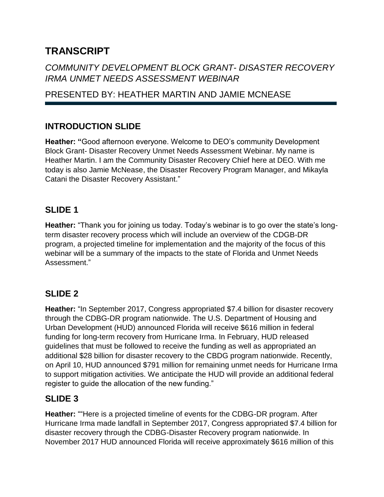# **TRANSCRIPT**

# *COMMUNITY DEVELOPMENT BLOCK GRANT- DISASTER RECOVERY IRMA UNMET NEEDS ASSESSMENT WEBINAR*

# PRESENTED BY: HEATHER MARTIN AND JAMIE MCNEASE

# **INTRODUCTION SLIDE**

**Heather: "**Good afternoon everyone. Welcome to DEO's community Development Block Grant- Disaster Recovery Unmet Needs Assessment Webinar. My name is Heather Martin. I am the Community Disaster Recovery Chief here at DEO. With me today is also Jamie McNease, the Disaster Recovery Program Manager, and Mikayla Catani the Disaster Recovery Assistant."

## **SLIDE 1**

**Heather:** "Thank you for joining us today. Today's webinar is to go over the state's longterm disaster recovery process which will include an overview of the CDGB-DR program, a projected timeline for implementation and the majority of the focus of this webinar will be a summary of the impacts to the state of Florida and Unmet Needs Assessment."

# **SLIDE 2**

**Heather:** "In September 2017, Congress appropriated \$7.4 billion for disaster recovery through the CDBG-DR program nationwide. The U.S. Department of Housing and Urban Development (HUD) announced Florida will receive \$616 million in federal funding for long-term recovery from Hurricane Irma. In February, HUD released guidelines that must be followed to receive the funding as well as appropriated an additional \$28 billion for disaster recovery to the CBDG program nationwide. Recently, on April 10, HUD announced \$791 million for remaining unmet needs for Hurricane Irma to support mitigation activities. We anticipate the HUD will provide an additional federal register to guide the allocation of the new funding."

# **SLIDE 3**

**Heather:** ""Here is a projected timeline of events for the CDBG-DR program. After Hurricane Irma made landfall in September 2017, Congress appropriated \$7.4 billion for disaster recovery through the CDBG-Disaster Recovery program nationwide. In November 2017 HUD announced Florida will receive approximately \$616 million of this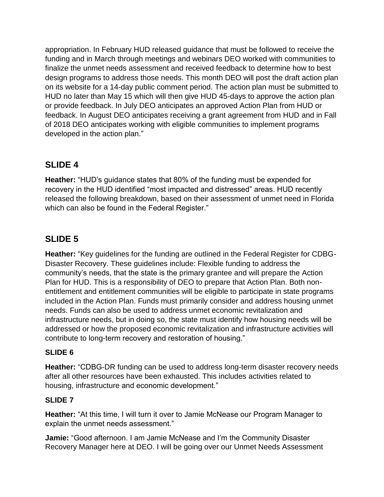appropriation. In February HUD released guidance that must be followed to receive the funding and in March through meetings and webinars DEO worked with communities to finalize the unmet needs assessment and received feedback to determine how to best design programs to address those needs. This month DEO will post the draft action plan on its website for a 14-day public comment period. The action plan must be submitted to HUD no later than May 15 which will then give HUD 45-days to approve the action plan or provide feedback. In July DEO anticipates an approved Action Plan from HUD or feedback. In August DEO anticipates receiving a grant agreement from HUD and in Fall of 2018 DEO anticipates working with eligible communities to implement programs developed in the action plan."

# **SLIDE 4**

**Heather:** "HUD's guidance states that 80% of the funding must be expended for recovery in the HUD identified "most impacted and distressed" areas. HUD recently released the following breakdown, based on their assessment of unmet need in Florida which can also be found in the Federal Register."

# **SLIDE 5**

**Heather:** "Key guidelines for the funding are outlined in the Federal Register for CDBG-Disaster Recovery. These guidelines include: Flexible funding to address the community's needs, that the state is the primary grantee and will prepare the Action Plan for HUD. This is a responsibility of DEO to prepare that Action Plan. Both nonentitlement and entitlement communities will be eligible to participate in state programs included in the Action Plan. Funds must primarily consider and address housing unmet needs. Funds can also be used to address unmet economic revitalization and infrastructure needs, but in doing so, the state must identify how housing needs will be addressed or how the proposed economic revitalization and infrastructure activities will contribute to long-term recovery and restoration of housing."

#### **SLIDE 6**

**Heather:** "CDBG-DR funding can be used to address long-term disaster recovery needs after all other resources have been exhausted. This includes activities related to housing, infrastructure and economic development."

#### **SLIDE 7**

**Heather:** "At this time, I will turn it over to Jamie McNease our Program Manager to explain the unmet needs assessment."

**Jamie:** "Good afternoon. I am Jamie McNease and I'm the Community Disaster Recovery Manager here at DEO. I will be going over our Unmet Needs Assessment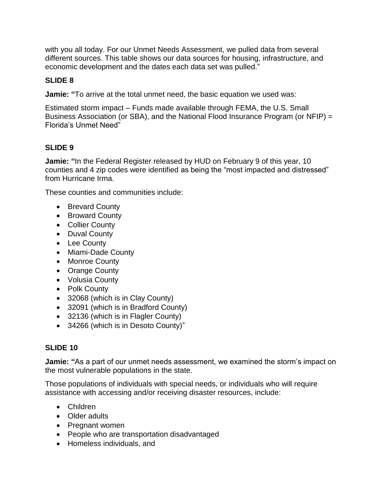with you all today. For our Unmet Needs Assessment, we pulled data from several different sources. This table shows our data sources for housing, infrastructure, and economic development and the dates each data set was pulled."

### **SLIDE 8**

**Jamie: "**To arrive at the total unmet need, the basic equation we used was:

Estimated storm impact – Funds made available through FEMA, the U.S. Small Business Association (or SBA), and the National Flood Insurance Program (or NFIP) = Florida's Unmet Need"

### **SLIDE 9**

**Jamie: "**In the Federal Register released by HUD on February 9 of this year, 10 counties and 4 zip codes were identified as being the "most impacted and distressed" from Hurricane Irma.

These counties and communities include:

- Brevard County
- Broward County
- Collier County
- Duval County
- Lee County
- Miami-Dade County
- Monroe County
- Orange County
- Volusia County
- Polk County
- 32068 (which is in Clay County)
- 32091 (which is in Bradford County)
- 32136 (which is in Flagler County)
- 34266 (which is in Desoto County)"

#### **SLIDE 10**

**Jamie: "**As a part of our unmet needs assessment, we examined the storm's impact on the most vulnerable populations in the state.

Those populations of individuals with special needs, or individuals who will require assistance with accessing and/or receiving disaster resources, include:

- Children
- Older adults
- Pregnant women
- People who are transportation disadvantaged
- Homeless individuals, and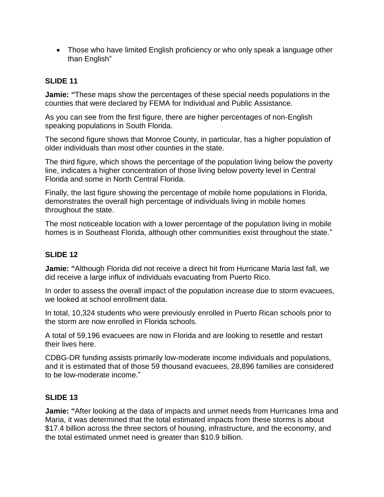• Those who have limited English proficiency or who only speak a language other than English"

#### **SLIDE 11**

**Jamie: "**These maps show the percentages of these special needs populations in the counties that were declared by FEMA for Individual and Public Assistance.

As you can see from the first figure, there are higher percentages of non-English speaking populations in South Florida.

The second figure shows that Monroe County, in particular, has a higher population of older individuals than most other counties in the state.

The third figure, which shows the percentage of the population living below the poverty line, indicates a higher concentration of those living below poverty level in Central Florida and some in North Central Florida.

Finally, the last figure showing the percentage of mobile home populations in Florida, demonstrates the overall high percentage of individuals living in mobile homes throughout the state.

The most noticeable location with a lower percentage of the population living in mobile homes is in Southeast Florida, although other communities exist throughout the state."

#### **SLIDE 12**

**Jamie: "**Although Florida did not receive a direct hit from Hurricane Maria last fall, we did receive a large influx of individuals evacuating from Puerto Rico.

In order to assess the overall impact of the population increase due to storm evacuees, we looked at school enrollment data.

In total, 10,324 students who were previously enrolled in Puerto Rican schools prior to the storm are now enrolled in Florida schools.

A total of 59,196 evacuees are now in Florida and are looking to resettle and restart their lives here.

CDBG-DR funding assists primarily low-moderate income individuals and populations, and it is estimated that of those 59 thousand evacuees, 28,896 families are considered to be low-moderate income."

#### **SLIDE 13**

**Jamie: "**After looking at the data of impacts and unmet needs from Hurricanes Irma and Maria, it was determined that the total estimated impacts from these storms is about \$17.4 billion across the three sectors of housing, infrastructure, and the economy, and the total estimated unmet need is greater than \$10.9 billion.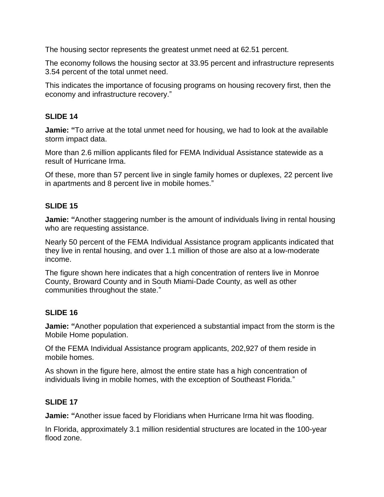The housing sector represents the greatest unmet need at 62.51 percent.

The economy follows the housing sector at 33.95 percent and infrastructure represents 3.54 percent of the total unmet need.

This indicates the importance of focusing programs on housing recovery first, then the economy and infrastructure recovery."

#### **SLIDE 14**

**Jamie: "**To arrive at the total unmet need for housing, we had to look at the available storm impact data.

More than 2.6 million applicants filed for FEMA Individual Assistance statewide as a result of Hurricane Irma.

Of these, more than 57 percent live in single family homes or duplexes, 22 percent live in apartments and 8 percent live in mobile homes."

#### **SLIDE 15**

**Jamie: "**Another staggering number is the amount of individuals living in rental housing who are requesting assistance.

Nearly 50 percent of the FEMA Individual Assistance program applicants indicated that they live in rental housing, and over 1.1 million of those are also at a low-moderate income.

The figure shown here indicates that a high concentration of renters live in Monroe County, Broward County and in South Miami-Dade County, as well as other communities throughout the state."

#### **SLIDE 16**

**Jamie: "**Another population that experienced a substantial impact from the storm is the Mobile Home population.

Of the FEMA Individual Assistance program applicants, 202,927 of them reside in mobile homes.

As shown in the figure here, almost the entire state has a high concentration of individuals living in mobile homes, with the exception of Southeast Florida."

#### **SLIDE 17**

**Jamie: "**Another issue faced by Floridians when Hurricane Irma hit was flooding.

In Florida, approximately 3.1 million residential structures are located in the 100-year flood zone.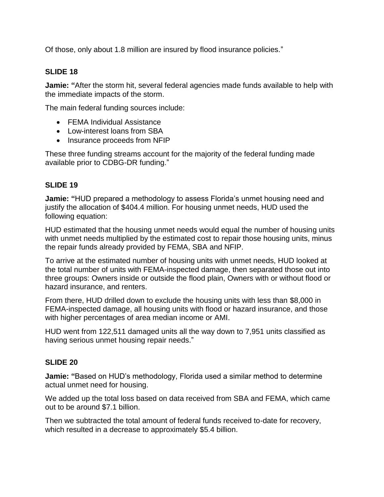Of those, only about 1.8 million are insured by flood insurance policies."

#### **SLIDE 18**

**Jamie: "**After the storm hit, several federal agencies made funds available to help with the immediate impacts of the storm.

The main federal funding sources include:

- FEMA Individual Assistance
- Low-interest loans from SBA
- Insurance proceeds from NFIP

These three funding streams account for the majority of the federal funding made available prior to CDBG-DR funding."

### **SLIDE 19**

**Jamie: "**HUD prepared a methodology to assess Florida's unmet housing need and justify the allocation of \$404.4 million. For housing unmet needs, HUD used the following equation:

HUD estimated that the housing unmet needs would equal the number of housing units with unmet needs multiplied by the estimated cost to repair those housing units, minus the repair funds already provided by FEMA, SBA and NFIP.

To arrive at the estimated number of housing units with unmet needs, HUD looked at the total number of units with FEMA-inspected damage, then separated those out into three groups: Owners inside or outside the flood plain, Owners with or without flood or hazard insurance, and renters.

From there, HUD drilled down to exclude the housing units with less than \$8,000 in FEMA-inspected damage, all housing units with flood or hazard insurance, and those with higher percentages of area median income or AMI.

HUD went from 122,511 damaged units all the way down to 7,951 units classified as having serious unmet housing repair needs."

#### **SLIDE 20**

**Jamie: "**Based on HUD's methodology, Florida used a similar method to determine actual unmet need for housing.

We added up the total loss based on data received from SBA and FEMA, which came out to be around \$7.1 billion.

Then we subtracted the total amount of federal funds received to-date for recovery, which resulted in a decrease to approximately \$5.4 billion.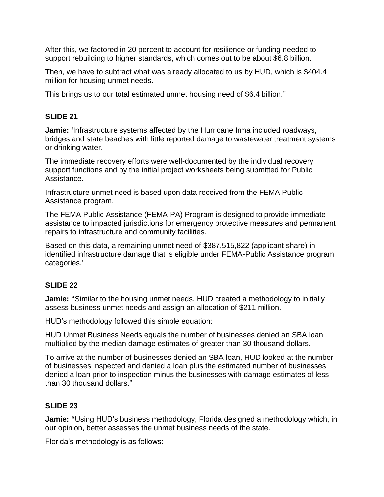After this, we factored in 20 percent to account for resilience or funding needed to support rebuilding to higher standards, which comes out to be about \$6.8 billion.

Then, we have to subtract what was already allocated to us by HUD, which is \$404.4 million for housing unmet needs.

This brings us to our total estimated unmet housing need of \$6.4 billion."

#### **SLIDE 21**

**Jamie: '**Infrastructure systems affected by the Hurricane Irma included roadways, bridges and state beaches with little reported damage to wastewater treatment systems or drinking water.

The immediate recovery efforts were well-documented by the individual recovery support functions and by the initial project worksheets being submitted for Public Assistance.

Infrastructure unmet need is based upon data received from the FEMA Public Assistance program.

The FEMA Public Assistance (FEMA-PA) Program is designed to provide immediate assistance to impacted jurisdictions for emergency protective measures and permanent repairs to infrastructure and community facilities.

Based on this data, a remaining unmet need of \$387,515,822 (applicant share) in identified infrastructure damage that is eligible under FEMA-Public Assistance program categories.'

#### **SLIDE 22**

**Jamie: "**Similar to the housing unmet needs, HUD created a methodology to initially assess business unmet needs and assign an allocation of \$211 million.

HUD's methodology followed this simple equation:

HUD Unmet Business Needs equals the number of businesses denied an SBA loan multiplied by the median damage estimates of greater than 30 thousand dollars.

To arrive at the number of businesses denied an SBA loan, HUD looked at the number of businesses inspected and denied a loan plus the estimated number of businesses denied a loan prior to inspection minus the businesses with damage estimates of less than 30 thousand dollars."

#### **SLIDE 23**

**Jamie: "**Using HUD's business methodology, Florida designed a methodology which, in our opinion, better assesses the unmet business needs of the state.

Florida's methodology is as follows: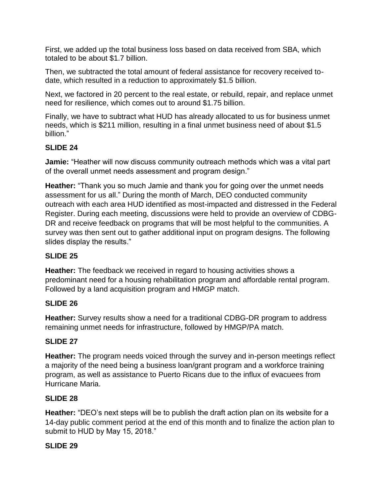First, we added up the total business loss based on data received from SBA, which totaled to be about \$1.7 billion.

Then, we subtracted the total amount of federal assistance for recovery received todate, which resulted in a reduction to approximately \$1.5 billion.

Next, we factored in 20 percent to the real estate, or rebuild, repair, and replace unmet need for resilience, which comes out to around \$1.75 billion.

Finally, we have to subtract what HUD has already allocated to us for business unmet needs, which is \$211 million, resulting in a final unmet business need of about \$1.5 billion."

### **SLIDE 24**

**Jamie:** "Heather will now discuss community outreach methods which was a vital part of the overall unmet needs assessment and program design."

**Heather:** "Thank you so much Jamie and thank you for going over the unmet needs assessment for us all." During the month of March, DEO conducted community outreach with each area HUD identified as most-impacted and distressed in the Federal Register. During each meeting, discussions were held to provide an overview of CDBG-DR and receive feedback on programs that will be most helpful to the communities. A survey was then sent out to gather additional input on program designs. The following slides display the results."

### **SLIDE 25**

**Heather:** The feedback we received in regard to housing activities shows a predominant need for a housing rehabilitation program and affordable rental program. Followed by a land acquisition program and HMGP match.

### **SLIDE 26**

**Heather:** Survey results show a need for a traditional CDBG-DR program to address remaining unmet needs for infrastructure, followed by HMGP/PA match.

### **SLIDE 27**

**Heather:** The program needs voiced through the survey and in-person meetings reflect a majority of the need being a business loan/grant program and a workforce training program, as well as assistance to Puerto Ricans due to the influx of evacuees from Hurricane Maria.

### **SLIDE 28**

**Heather:** "DEO's next steps will be to publish the draft action plan on its website for a 14-day public comment period at the end of this month and to finalize the action plan to submit to HUD by May 15, 2018."

### **SLIDE 29**